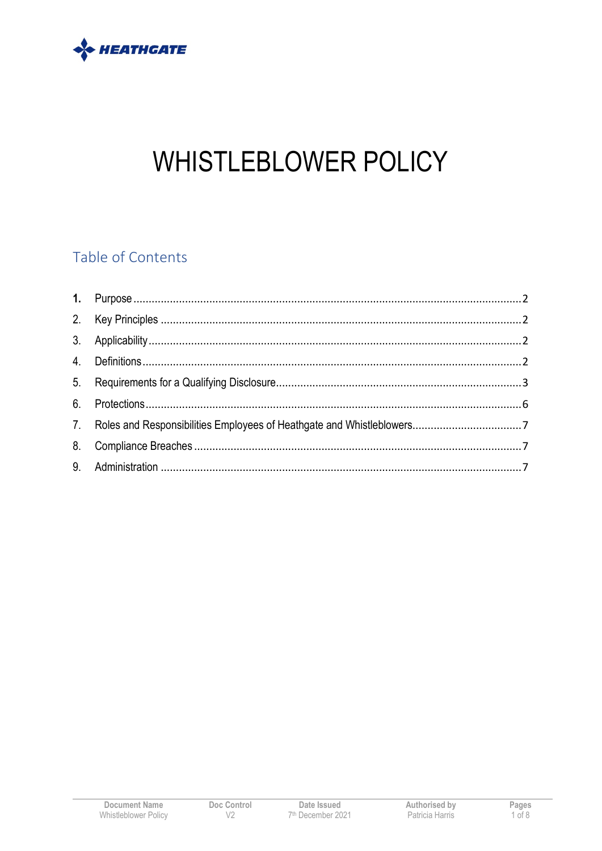

# **WHISTLEBLOWER POLICY**

# Table of Contents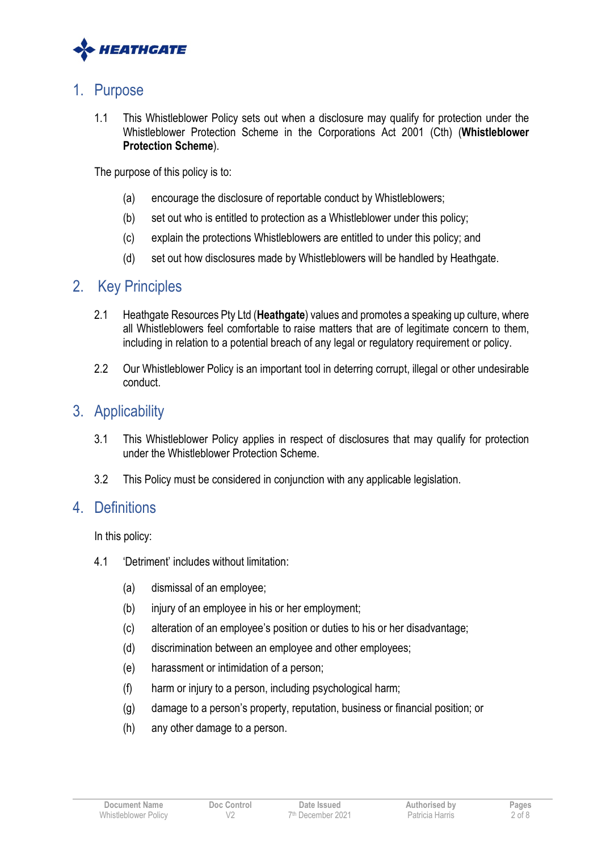

## 1. Purpose

1.1 This Whistleblower Policy sets out when a disclosure may qualify for protection under the Whistleblower Protection Scheme in the Corporations Act 2001 (Cth) (**Whistleblower Protection Scheme**).

The purpose of this policy is to:

- (a) encourage the disclosure of reportable conduct by Whistleblowers;
- (b) set out who is entitled to protection as a Whistleblower under this policy;
- (c) explain the protections Whistleblowers are entitled to under this policy; and
- (d) set out how disclosures made by Whistleblowers will be handled by Heathgate.

## 2. Key Principles

- 2.1 Heathgate Resources Pty Ltd (**Heathgate**) values and promotes a speaking up culture, where all Whistleblowers feel comfortable to raise matters that are of legitimate concern to them, including in relation to a potential breach of any legal or regulatory requirement or policy.
- 2.2 Our Whistleblower Policy is an important tool in deterring corrupt, illegal or other undesirable conduct.

# 3. Applicability

- 3.1 This Whistleblower Policy applies in respect of disclosures that may qualify for protection under the Whistleblower Protection Scheme.
- 3.2 This Policy must be considered in conjunction with any applicable legislation.

## 4. Definitions

In this policy:

- 4.1 'Detriment' includes without limitation:
	- (a) dismissal of an employee;
	- (b) injury of an employee in his or her employment;
	- (c) alteration of an employee's position or duties to his or her disadvantage;
	- (d) discrimination between an employee and other employees;
	- (e) harassment or intimidation of a person;
	- (f) harm or injury to a person, including psychological harm;
	- (g) damage to a person's property, reputation, business or financial position; or
	- (h) any other damage to a person.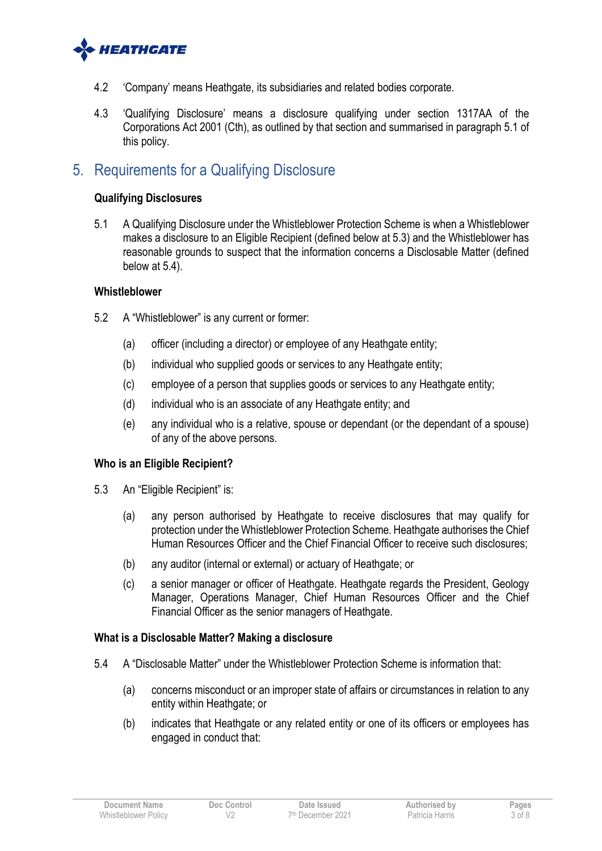

- 4.2 'Company' means Heathgate, its subsidiaries and related bodies corporate.
- 4.3 'Qualifying Disclosure' means a disclosure qualifying under section 1317AA of the Corporations Act 2001 (Cth), as outlined by that section and summarised in paragraph 5.1 of this policy.

# 5. Requirements for a Qualifying Disclosure

#### **Qualifying Disclosures**

5.1 A Qualifying Disclosure under the Whistleblower Protection Scheme is when a Whistleblower makes a disclosure to an Eligible Recipient (defined below at 5.3) and the Whistleblower has reasonable grounds to suspect that the information concerns a Disclosable Matter (defined below at 5.4).

#### **Whistleblower**

- 5.2 A "Whistleblower" is any current or former:
	- (a) officer (including a director) or employee of any Heathgate entity;
	- (b) individual who supplied goods or services to any Heathgate entity;
	- (c) employee of a person that supplies goods or services to any Heathgate entity;
	- (d) individual who is an associate of any Heathgate entity; and
	- (e) any individual who is a relative, spouse or dependant (or the dependant of a spouse) of any of the above persons.

#### **Who is an Eligible Recipient?**

- 5.3 An "Eligible Recipient" is:
	- (a) any person authorised by Heathgate to receive disclosures that may qualify for protection under the Whistleblower Protection Scheme. Heathgate authorises the Chief Human Resources Officer and the Chief Financial Officer to receive such disclosures;
	- (b) any auditor (internal or external) or actuary of Heathgate; or
	- (c) a senior manager or officer of Heathgate. Heathgate regards the President, Geology Manager, Operations Manager, Chief Human Resources Officer and the Chief Financial Officer as the senior managers of Heathgate.

#### **What is a Disclosable Matter? Making a disclosure**

- 5.4 A "Disclosable Matter" under the Whistleblower Protection Scheme is information that:
	- (a) concerns misconduct or an improper state of affairs or circumstances in relation to any entity within Heathgate; or
	- (b) indicates that Heathgate or any related entity or one of its officers or employees has engaged in conduct that: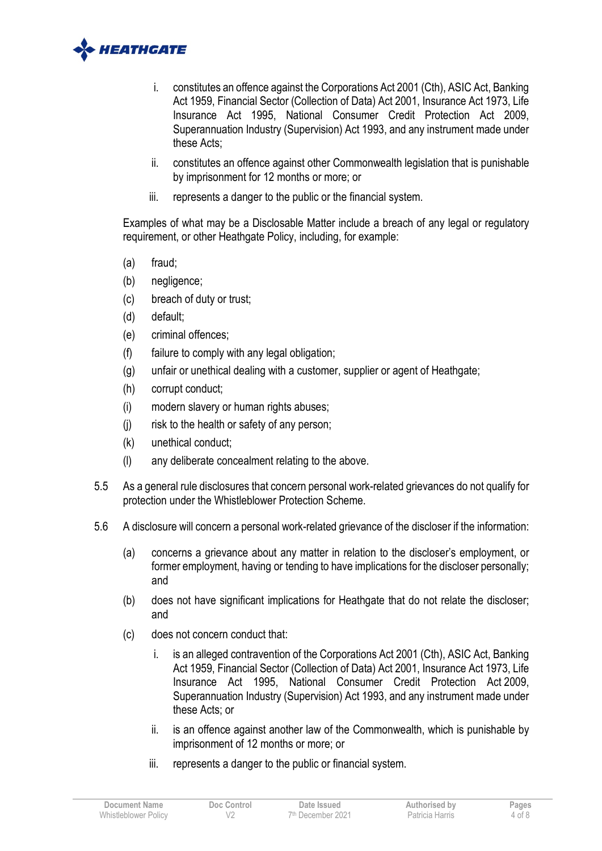

- i. constitutes an offence against the Corporations Act 2001 (Cth), ASIC Act, Banking Act 1959, Financial Sector (Collection of Data) Act 2001, Insurance Act 1973, Life Insurance Act 1995, National Consumer Credit Protection Act 2009, Superannuation Industry (Supervision) Act 1993, and any instrument made under these Acts;
- ii. constitutes an offence against other Commonwealth legislation that is punishable by imprisonment for 12 months or more; or
- iii. represents a danger to the public or the financial system.

Examples of what may be a Disclosable Matter include a breach of any legal or regulatory requirement, or other Heathgate Policy, including, for example:

- (a) fraud;
- (b) negligence;
- (c) breach of duty or trust;
- (d) default;
- (e) criminal offences;
- (f) failure to comply with any legal obligation;
- (g) unfair or unethical dealing with a customer, supplier or agent of Heathgate;
- (h) corrupt conduct;
- (i) modern slavery or human rights abuses;
- (j) risk to the health or safety of any person;
- (k) unethical conduct;
- (l) any deliberate concealment relating to the above.
- 5.5 As a general rule disclosures that concern personal work-related grievances do not qualify for protection under the Whistleblower Protection Scheme.
- 5.6 A disclosure will concern a personal work-related grievance of the discloser if the information:
	- (a) concerns a grievance about any matter in relation to the discloser's employment, or former employment, having or tending to have implications for the discloser personally; and
	- (b) does not have significant implications for Heathgate that do not relate the discloser; and
	- (c) does not concern conduct that:
		- i. is an alleged contravention of the Corporations Act 2001 (Cth), ASIC Act, Banking Act 1959, Financial Sector (Collection of Data) Act 2001, Insurance Act 1973, Life Insurance Act 1995, National Consumer Credit Protection Act 2009, Superannuation Industry (Supervision) Act 1993, and any instrument made under these Acts; or
		- ii. is an offence against another law of the Commonwealth, which is punishable by imprisonment of 12 months or more; or
		- iii. represents a danger to the public or financial system.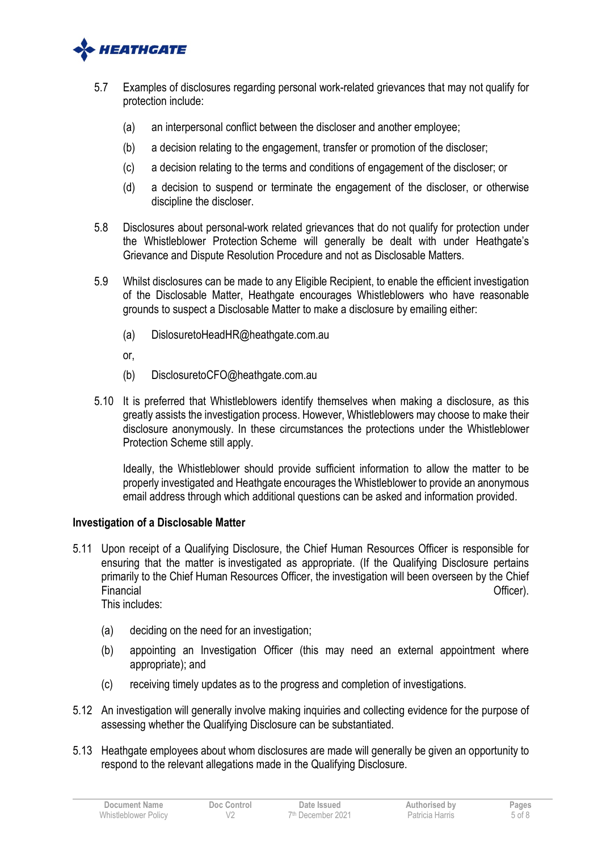

- 5.7 Examples of disclosures regarding personal work-related grievances that may not qualify for protection include:
	- (a) an interpersonal conflict between the discloser and another employee;
	- (b) a decision relating to the engagement, transfer or promotion of the discloser;
	- (c) a decision relating to the terms and conditions of engagement of the discloser; or
	- (d) a decision to suspend or terminate the engagement of the discloser, or otherwise discipline the discloser.
- 5.8 Disclosures about personal-work related grievances that do not qualify for protection under the Whistleblower Protection Scheme will generally be dealt with under Heathgate's Grievance and Dispute Resolution Procedure and not as Disclosable Matters.
- 5.9 Whilst disclosures can be made to any Eligible Recipient, to enable the efficient investigation of the Disclosable Matter, Heathgate encourages Whistleblowers who have reasonable grounds to suspect a Disclosable Matter to make a disclosure by emailing either:
	- (a) DislosuretoHeadHR@heathgate.com.au
	- or,
	- (b) DisclosuretoCFO@heathgate.com.au
- 5.10 It is preferred that Whistleblowers identify themselves when making a disclosure, as this greatly assists the investigation process. However, Whistleblowers may choose to make their disclosure anonymously. In these circumstances the protections under the Whistleblower Protection Scheme still apply.

Ideally, the Whistleblower should provide sufficient information to allow the matter to be properly investigated and Heathgate encourages the Whistleblower to provide an anonymous email address through which additional questions can be asked and information provided.

#### **Investigation of a Disclosable Matter**

- 5.11 Upon receipt of a Qualifying Disclosure, the Chief Human Resources Officer is responsible for ensuring that the matter is investigated as appropriate. (If the Qualifying Disclosure pertains primarily to the Chief Human Resources Officer, the investigation will been overseen by the Chief Financial Contract Contract Contract Contract Contract Contract Contract Contract Contract Contract Contract Contract Contract Contract Contract Contract Contract Contract Contract Contract Contract Contract Contract Contr This includes:
	- (a) deciding on the need for an investigation;
	- (b) appointing an Investigation Officer (this may need an external appointment where appropriate); and
	- (c) receiving timely updates as to the progress and completion of investigations.
- 5.12 An investigation will generally involve making inquiries and collecting evidence for the purpose of assessing whether the Qualifying Disclosure can be substantiated.
- 5.13 Heathgate employees about whom disclosures are made will generally be given an opportunity to respond to the relevant allegations made in the Qualifying Disclosure.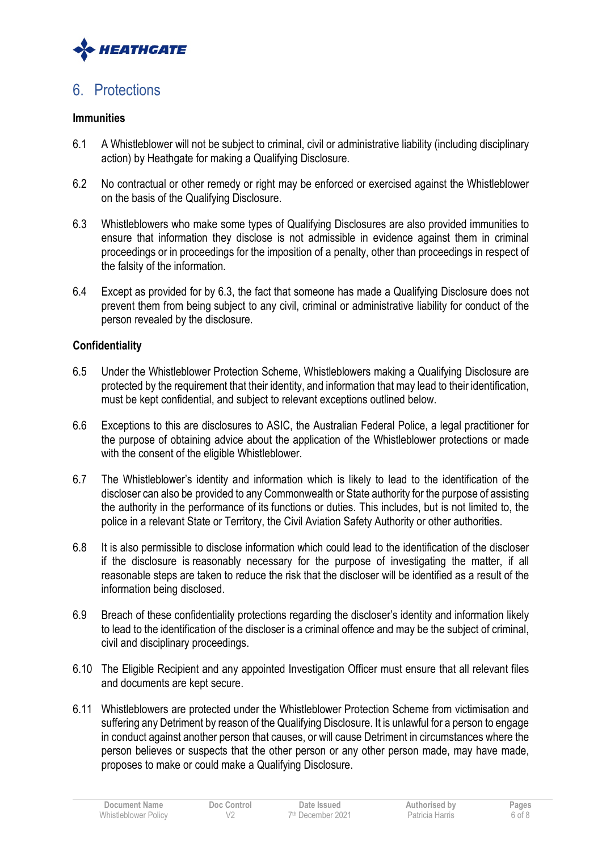

# 6. Protections

#### **Immunities**

- 6.1 A Whistleblower will not be subject to criminal, civil or administrative liability (including disciplinary action) by Heathgate for making a Qualifying Disclosure.
- 6.2 No contractual or other remedy or right may be enforced or exercised against the Whistleblower on the basis of the Qualifying Disclosure.
- 6.3 Whistleblowers who make some types of Qualifying Disclosures are also provided immunities to ensure that information they disclose is not admissible in evidence against them in criminal proceedings or in proceedings for the imposition of a penalty, other than proceedings in respect of the falsity of the information.
- 6.4 Except as provided for by 6.3, the fact that someone has made a Qualifying Disclosure does not prevent them from being subject to any civil, criminal or administrative liability for conduct of the person revealed by the disclosure.

#### **Confidentiality**

- 6.5 Under the Whistleblower Protection Scheme, Whistleblowers making a Qualifying Disclosure are protected by the requirement that their identity, and information that may lead to their identification, must be kept confidential, and subject to relevant exceptions outlined below.
- 6.6 Exceptions to this are disclosures to ASIC, the Australian Federal Police, a legal practitioner for the purpose of obtaining advice about the application of the Whistleblower protections or made with the consent of the eligible Whistleblower.
- 6.7 The Whistleblower's identity and information which is likely to lead to the identification of the discloser can also be provided to any Commonwealth or State authority for the purpose of assisting the authority in the performance of its functions or duties. This includes, but is not limited to, the police in a relevant State or Territory, the Civil Aviation Safety Authority or other authorities.
- 6.8 It is also permissible to disclose information which could lead to the identification of the discloser if the disclosure is reasonably necessary for the purpose of investigating the matter, if all reasonable steps are taken to reduce the risk that the discloser will be identified as a result of the information being disclosed.
- 6.9 Breach of these confidentiality protections regarding the discloser's identity and information likely to lead to the identification of the discloser is a criminal offence and may be the subject of criminal, civil and disciplinary proceedings.
- 6.10 The Eligible Recipient and any appointed Investigation Officer must ensure that all relevant files and documents are kept secure.
- 6.11 Whistleblowers are protected under the Whistleblower Protection Scheme from victimisation and suffering any Detriment by reason of the Qualifying Disclosure. It is unlawful for a person to engage in conduct against another person that causes, or will cause Detriment in circumstances where the person believes or suspects that the other person or any other person made, may have made, proposes to make or could make a Qualifying Disclosure.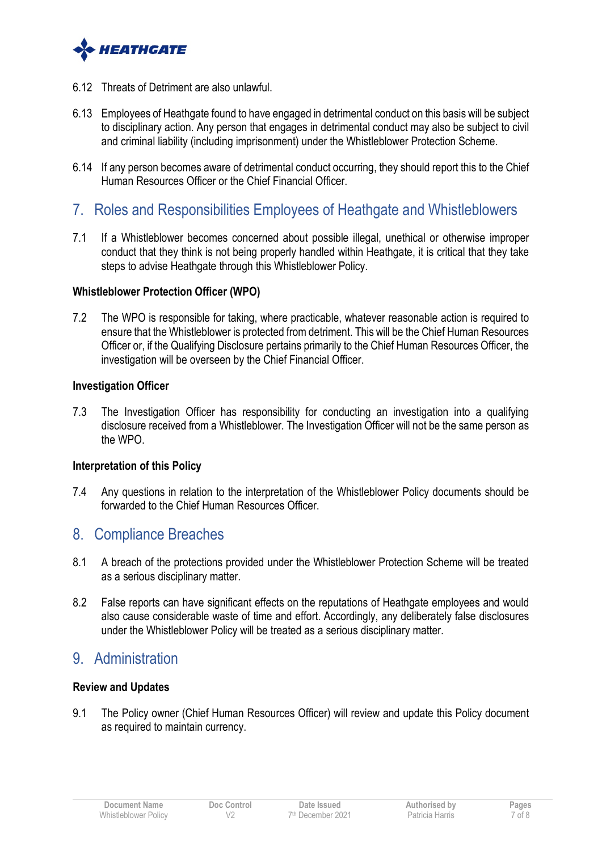

- 6.12 Threats of Detriment are also unlawful.
- 6.13 Employees of Heathgate found to have engaged in detrimental conduct on this basis will be subject to disciplinary action. Any person that engages in detrimental conduct may also be subject to civil and criminal liability (including imprisonment) under the Whistleblower Protection Scheme.
- 6.14 If any person becomes aware of detrimental conduct occurring, they should report this to the Chief Human Resources Officer or the Chief Financial Officer.
- 7. Roles and Responsibilities Employees of Heathgate and Whistleblowers
- 7.1 If a Whistleblower becomes concerned about possible illegal, unethical or otherwise improper conduct that they think is not being properly handled within Heathgate, it is critical that they take steps to advise Heathgate through this Whistleblower Policy.

#### **Whistleblower Protection Officer (WPO)**

7.2 The WPO is responsible for taking, where practicable, whatever reasonable action is required to ensure that the Whistleblower is protected from detriment. This will be the Chief Human Resources Officer or, if the Qualifying Disclosure pertains primarily to the Chief Human Resources Officer, the investigation will be overseen by the Chief Financial Officer.

#### **Investigation Officer**

7.3 The Investigation Officer has responsibility for conducting an investigation into a qualifying disclosure received from a Whistleblower. The Investigation Officer will not be the same person as the WPO.

#### **Interpretation of this Policy**

7.4 Any questions in relation to the interpretation of the Whistleblower Policy documents should be forwarded to the Chief Human Resources Officer.

### 8. Compliance Breaches

- 8.1 A breach of the protections provided under the Whistleblower Protection Scheme will be treated as a serious disciplinary matter.
- 8.2 False reports can have significant effects on the reputations of Heathgate employees and would also cause considerable waste of time and effort. Accordingly, any deliberately false disclosures under the Whistleblower Policy will be treated as a serious disciplinary matter.

## 9. Administration

#### **Review and Updates**

9.1 The Policy owner (Chief Human Resources Officer) will review and update this Policy document as required to maintain currency.